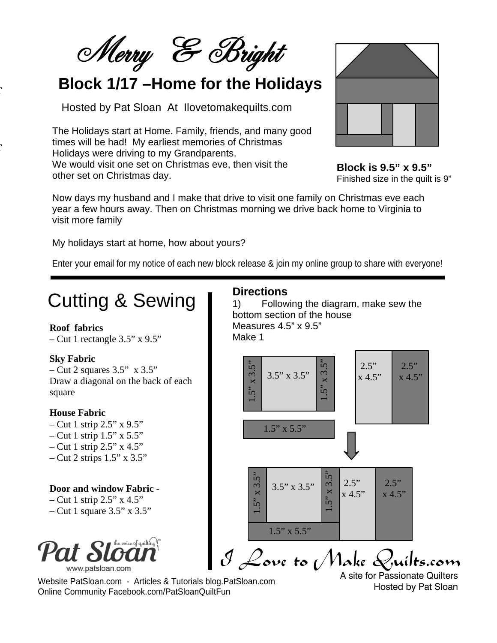Merry & Bright

### **Block 1/17 –Home for the Holidays**

Hosted by Pat Sloan At Ilovetomakequilts.com

The Holidays start at Home. Family, friends, and many good times will be had! My earliest memories of Christmas Holidays were driving to my Grandparents. We would visit one set on Christmas eve, then visit the other set on Christmas day.



**Block is 9.5" x 9.5"** Finished size in the quilt is 9"

Now days my husband and I make that drive to visit one family on Christmas eve each year a few hours away. Then on Christmas morning we drive back home to Virginia to visit more family

My holidays start at home, how about yours?

Enter your email for my notice of each new block release & join my online group to share with everyone!

# Cutting & Sewing

#### **Roof fabrics**

 $\overline{a}$ 

 $\overline{a}$ 

 $-$  Cut 1 rectangle 3.5" x 9.5"

#### **Sky Fabric**

 $-$  Cut 2 squares 3.5" x 3.5" Draw a diagonal on the back of each square

#### **House Fabric**

- Cut 1 strip  $2.5$ " x  $9.5$ "  $-$  Cut 1 strip 1.5" x 5.5"
- Cut 1 strip  $2.5$ " x 4.5"
- $-$  Cut 2 strips 1.5" x 3.5"

#### **Door and window Fabric** -

– Cut 1 strip  $2.5$ " x  $4.5$ " – Cut 1 square  $3.5$ " x  $3.5$ "



I Love to Make Quilts.com

Website PatSloan.com - Articles & Tutorials blog.PatSloan.com Online Community Facebook.com/PatSloanQuiltFun

A site for Passionate Quilters Hosted by Pat Sloan

### **Directions**

1) Following the diagram, make sew the bottom section of the house Measures 4.5" x 9.5" Make 1

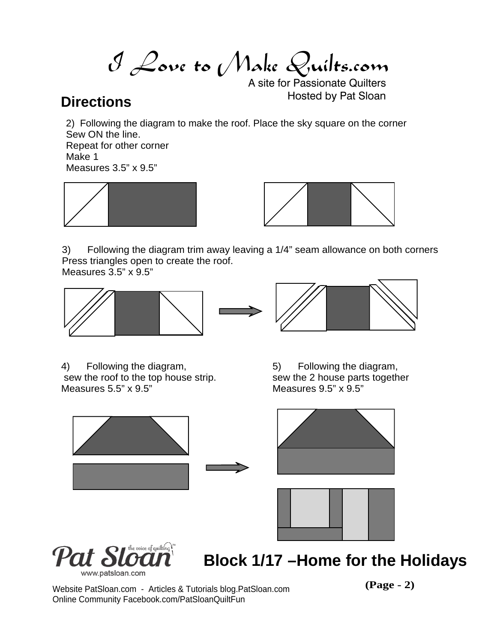I Love to Make Quilts.com

A site for Passionate Quilters **Directions Directions Directions** 

2) Following the diagram to make the roof. Place the sky square on the corner Sew ON the line.

Repeat for other corner Make 1 Measures 3.5" x 9.5"





3) Following the diagram trim away leaving a 1/4" seam allowance on both corners Press triangles open to create the roof.

Measures 3.5" x 9.5"





4) Following the diagram, sew the roof to the top house strip. Measures 5.5" x 9.5"

5) Following the diagram, sew the 2 house parts together Measures 9.5" x 9.5"





**Block 1/17 –Home for the Holidays**

Website PatSloan.com - Articles & Tutorials blog.PatSloan.com **(Page - 2)** Online Community Facebook.com/PatSloanQuiltFun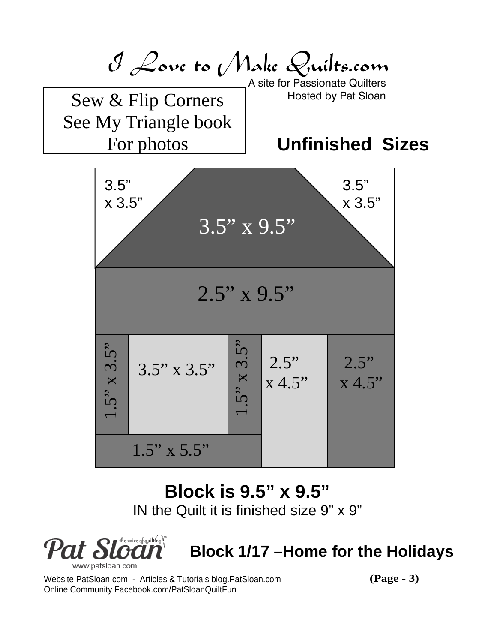

# **Block is 9.5" x 9.5"**

IN the Quilt it is finished size 9" x 9"



# **Block 1/17 –Home for the Holidays**

Website PatSloan.com - Articles & Tutorials blog.PatSloan.com **(Page - 3)** Online Community Facebook.com/PatSloanQuiltFun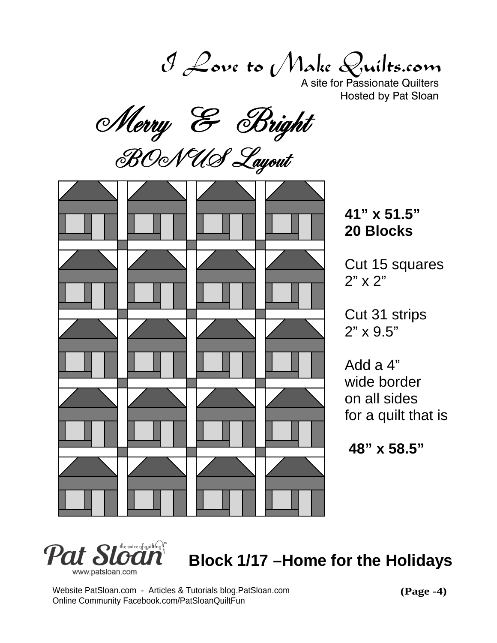I Love to Make Quilts.com

A site for Passionate Quilters

Hosted by Pat Sloan<br>Merry & Bright<br>BOONUS Layout



**41" x 51.5" 20 Blocks**

Cut 15 squares 2" x 2"

Cut 31 strips 2" x 9.5"

Add a 4" wide border on all sides for a quilt that is

 **48" x 58.5"**



**Block 1/17 –Home for the Holidays**

Website PatSloan.com - Articles & Tutorials blog.PatSloan.com Online Community Facebook.com/PatSloanQuiltFun

**(Page -4)**